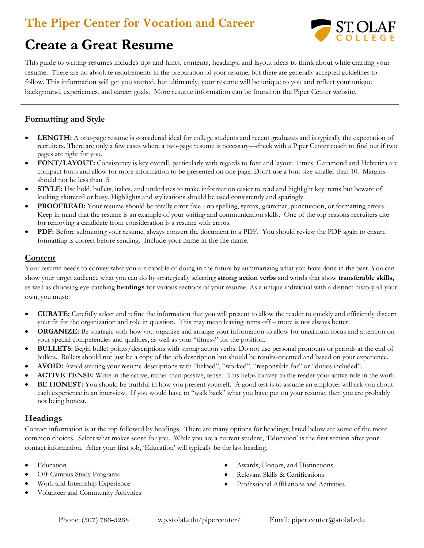### **The Piper Center for Vocation and Career**



# **Create a Great Resume Resume**

This guide to writing resumes includes tips and hints, contents, headings, and layout ideas to think about while crafting your resume. There are no absolute requirements in the preparation of your resume, but there are generally accepted guidelines to follow. This information will get you started, but ultimately, your resume will be unique to you and reflect your unique background, experiences, and career goals. More resume information can be found on the Piper Center website.

### **Formatting and Style**

- **LENGTH:** A one-page resume is considered ideal for college students and recent graduates and is typically the expectation of recruiters. There are only a few cases where a two-page resume is necessary—check with a Piper Center coach to find out if two pages are right for you.
- **FONT/LAYOUT:** Consistency is key overall, particularly with regards to font and layout. Times, Garamond and Helvetica are compact fonts and allow for more information to be presented on one page. Don't use a font size smaller than 10. Margins should not be less than .5
- **STYLE:** Use bold, bullets, italics, and underlines to make information easier to read and highlight key items but beware of looking cluttered or busy. Highlights and stylizations should be used consistently and sparingly.
- **PROOFREAD:** Your resume should be totally error free no spelling, syntax, grammar, punctuation, or formatting errors. Keep in mind that the resume is an example of your writing and communication skills. One of the top reasons recruiters cite for removing a candidate from consideration is a resume with errors.
- **PDF:** Before submitting your resume, always convert the document to a PDF. You should review the PDF again to ensure formatting is correct before sending. Include your name in the file name.

### **Content**

Your resume needs to convey what you are capable of doing in the future by summarizing what you have done in the past. You can show your target audience what you can do by strategically selecting **strong action verbs** and words that show **transferable skills,** as well as choosing eye-catching **headings** for various sections of your resume. As a unique individual with a distinct history all your own, you must:

- **CURATE:** Carefully select and refine the information that you will present to allow the reader to quickly and efficiently discern your fit for the organization and role in question. This may mean leaving items off – more is not always better.
- **ORGANIZE:** Be strategic with how you organize and arrange your information to allow for maximum focus and attention on your special competencies and qualities, as well as your "fitness" for the position.
- **BULLETS:** Begin bullet points/descriptions with strong action verbs. Do not use personal pronouns or periods at the end of bullets. Bullets should not just be a copy of the job description but should be results-oriented and based on your experience.
- **AVOID:** Avoid starting your resume descriptions with "helped", "worked", "responsible for" or "duties included".
- **ACTIVE TENSE:** Write in the active, rather than passive, tense. This helps convey to the reader your active role in the work.
- **BE HONEST:** You should be truthful in how you present yourself. A good test is to assume an employer will ask you about each experience in an interview. If you would have to "walk back" what you have put on your resume, then you are probably not being honest.

### **Headings**

Contact information is at the top followed by headings. There are many options for headings; listed below are some of the more common choices. Select what makes sense for you. While you are a current student, 'Education' is the first section after your contact information. After your first job, 'Education' will typically be the last heading.

- Education
- Off-Campus Study Programs
- Work and Internship Experience
- Volunteer and Community Activities
- Awards, Honors, and Distinctions
- Relevant Skills & Certifications
- Professional Affiliations and Activities